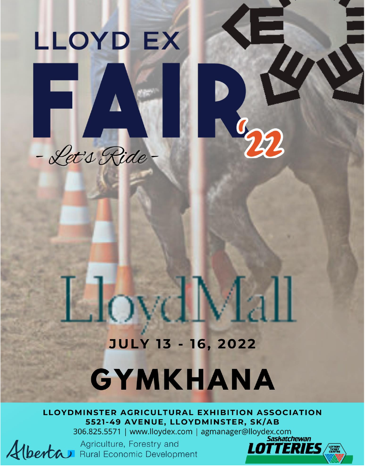

# 

# love  $\sqrt{2}$

# **JULY 13 - 16, 2022**

# GYMKHANA

LLOYDMINSTER AGRICULTURAL EXHIBITION ASSOCIATION 5521-49 AVENUE, LLOYDMINSTER, SK/AB

306.825.5571 | www.lloydex.com | agmanager@lloydex.com

Agriculture, Forestry and **Alberta** Rural Economic Development

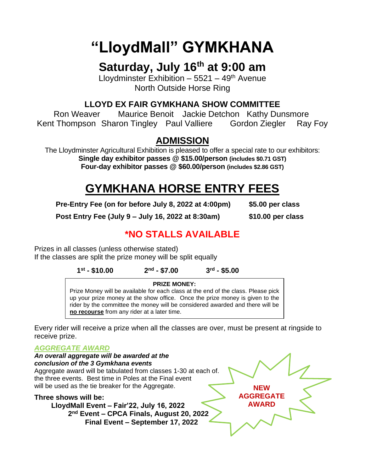# **"LloydMall" GYMKHANA**

# **Saturday, July 16th at 9:00 am**

Lloydminster Exhibition  $-5521 - 49<sup>th</sup>$  Avenue North Outside Horse Ring

#### **LLOYD EX FAIR GYMKHANA SHOW COMMITTEE**

Ron Weaver Maurice Benoit Jackie Detchon Kathy Dunsmore Kent Thompson Sharon Tingley Paul Valliere Gordon Ziegler Ray Foy

### **ADMISSION**

The Lloydminster Agricultural Exhibition is pleased to offer a special rate to our exhibitors: **Single day exhibitor passes @ \$15.00/person (includes \$0.71 GST) Four-day exhibitor passes @ \$60.00/person (includes \$2.86 GST)**

# **GYMKHANA HORSE ENTRY FEES**

**Pre-Entry Fee (on for before July 8, 2022 at 4:00pm) \$5.00 per class**

**Post Entry Fee (July 9 – July 16, 2022 at 8:30am) \$10.00 per class**

## **\*NO STALLS AVAILABLE**

Prizes in all classes (unless otherwise stated) If the classes are split the prize money will be split equally

> **1 st - \$10.00 2 nd - \$7.00 3 rd - \$5.00**

**PRIZE MONEY:** Prize Money will be available for each class at the end of the class. Please pick up your prize money at the show office. Once the prize money is given to the rider by the committee the money will be considered awarded and there will be **no recourse** from any rider at a later time.

Every rider will receive a prize when all the classes are over, must be present at ringside to receive prize.

#### *AGGREGATE AWARD*

*An overall aggregate will be awarded at the conclusion of the 3 Gymkhana events* Aggregate award will be tabulated from classes 1-30 at each of. the three events. Best time in Poles at the Final event will be used as the tie breaker for the Aggregate. **Three shows will be: LloydMall Event – Fair'22, July 16, 2022 2 nd Event – CPCA Finals, August 20, 2022 Final Event – September 17, 2022 NEW AGGREGATE AWARD**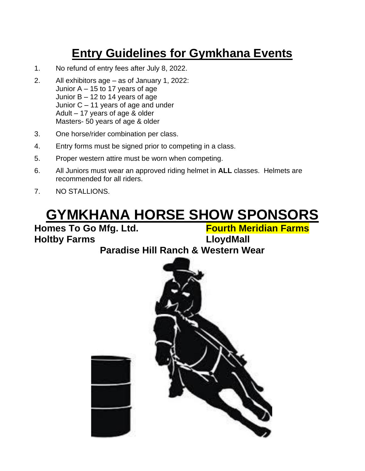# **Entry Guidelines for Gymkhana Events**

- 1. No refund of entry fees after July 8, 2022.
- 2. All exhibitors age as of January 1, 2022: Junior A – 15 to 17 years of age Junior B – 12 to 14 years of age Junior C – 11 years of age and under Adult – 17 years of age & older Masters- 50 years of age & older
- 3. One horse/rider combination per class.
- 4. Entry forms must be signed prior to competing in a class.
- 5. Proper western attire must be worn when competing.
- 6. All Juniors must wear an approved riding helmet in **ALL** classes. Helmets are recommended for all riders.
- 7. NO STALLIONS.

# **GYMKHANA HORSE SHOW SPONSORS**

**Homes To Go Mfg. Ltd. Fourth Meridian Farms Holtby Farms LloydMall**

# **Paradise Hill Ranch & Western Wear**

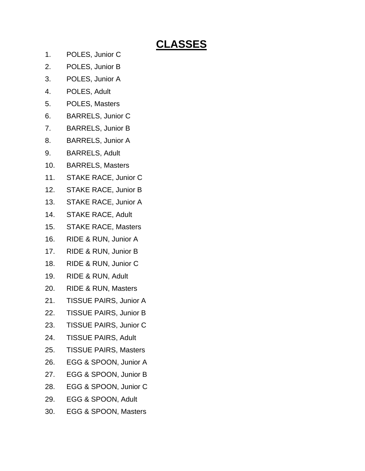# **CLASSES**

- 1. POLES, Junior C
- 2. POLES, Junior B
- 3. POLES, Junior A
- 4. POLES, Adult
- 5. POLES, Masters
- 6. BARRELS, Junior C
- 7. BARRELS, Junior B
- 8. BARRELS, Junior A
- 9. BARRELS, Adult
- 10. BARRELS, Masters
- 11. STAKE RACE, Junior C
- 12. STAKE RACE, Junior B
- 13. STAKE RACE, Junior A
- 14. STAKE RACE, Adult
- 15. STAKE RACE, Masters
- 16. RIDE & RUN, Junior A
- 17. RIDE & RUN, Junior B
- 18. RIDE & RUN, Junior C
- 19. RIDE & RUN, Adult
- 20. RIDE & RUN, Masters
- 21. TISSUE PAIRS, Junior A
- 22. TISSUE PAIRS, Junior B
- 23. TISSUE PAIRS, Junior C
- 24. TISSUE PAIRS, Adult
- 25. TISSUE PAIRS, Masters
- 26. EGG & SPOON, Junior A
- 27. EGG & SPOON, Junior B
- 28. EGG & SPOON, Junior C
- 29. EGG & SPOON, Adult
- 30. EGG & SPOON, Masters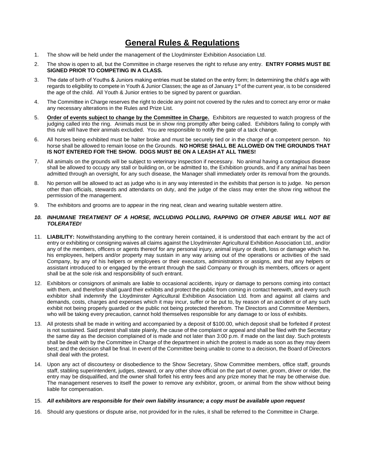#### **General Rules & Regulations**

- 1. The show will be held under the management of the Lloydminster Exhibition Association Ltd.
- 2. The show is open to all, but the Committee in charge reserves the right to refuse any entry. **ENTRY FORMS MUST BE SIGNED PRIOR TO COMPETING IN A CLASS.**
- 3. The date of birth of Youths & Juniors making entries must be stated on the entry form; In determining the child's age with regards to eligibility to compete in Youth & Junior Classes; the age as of January 1<sup>st</sup> of the current year, is to be considered the age of the child. All Youth & Junior entries to be signed by parent or guardian.
- 4. The Committee in Charge reserves the right to decide any point not covered by the rules and to correct any error or make any necessary alterations in the Rules and Prize List.
- 5. **Order of events subject to change by the Committee in Charge.** Exhibitors are requested to watch progress of the judging called into the ring. Animals must be in show ring promptly after being called. Exhibitors failing to comply with this rule will have their animals excluded. You are responsible to notify the gate of a tack change.
- 6. All horses being exhibited must be halter broke and must be securely tied or in the charge of a competent person. No horse shall be allowed to remain loose on the Grounds. **NO HORSE SHALL BE ALLOWED ON THE GROUNDS THAT IS NOT ENTERED FOR THE SHOW. DOGS MUST BE ON A LEASH AT ALL TIMES!**
- 7. All animals on the grounds will be subject to veterinary inspection if necessary. No animal having a contagious disease shall be allowed to occupy any stall or building on, or be admitted to, the Exhibition grounds, and if any animal has been admitted through an oversight, for any such disease, the Manager shall immediately order its removal from the grounds.
- 8. No person will be allowed to act as judge who is in any way interested in the exhibits that person is to judge. No person other than officials, stewards and attendants on duty, and the judge of the class may enter the show ring without the permission of the management.
- 9. The exhibitors and grooms are to appear in the ring neat, clean and wearing suitable western attire.

#### *10. INHUMANE TREATMENT OF A HORSE, INCLUDING POLLING, RAPPING OR OTHER ABUSE WILL NOT BE TOLERATED!*

- 11. **LIABILITY:** Notwithstanding anything to the contrary herein contained, it is understood that each entrant by the act of entry or exhibiting or consigning waives all claims against the Lloydminster Agricultural Exhibition Association Ltd., and/or any of the members, officers or agents thereof for any personal injury, animal injury or death, loss or damage which he, his employees, helpers and/or property may sustain in any way arising out of the operations or activities of the said Company, by any of his helpers or employees or their executors, administrators or assigns, and that any helpers or assistant introduced to or engaged by the entrant through the said Company or through its members, officers or agent shall be at the sole risk and responsibility of such entrant.
- 12. Exhibitors or consignors of animals are liable to occasional accidents, injury or damage to persons coming into contact with them, and therefore shall guard their exhibits and protect the public from coming in contact herewith, and every such exhibitor shall indemnify the Lloydminster Agricultural Exhibition Association Ltd. from and against all claims and demands, costs, charges and expenses which it may incur, suffer or be put to, by reason of an accident or of any such exhibit not being properly guarded or the public not being protected therefrom. The Directors and Committee Members, who will be taking every precaution, cannot hold themselves responsible for any damage to or loss of exhibits.
- 13. All protests shall be made in writing and accompanied by a deposit of \$100.00, which deposit shall be forfeited if protest is not sustained. Said protest shall state plainly, the cause of the complaint or appeal and shall be filed with the Secretary the same day as the decision complained of is made and not later than 3:00 p.m. if made on the last day. Such protests shall be dealt with by the Committee in Charge of the department in which the protest is made as soon as they may deem best; and the decision shall be final. In event of the Committee being unable to come to a decision, the Board of Directors shall deal with the protest.
- 14. Upon any act of discourtesy or disobedience to the Show Secretary, Show Committee members, office staff, grounds staff, stabling superintendent, judges, steward, or any other show official on the part of owner, groom, driver or rider, the entry may be disqualified, and the owner shall forfeit his entry fees and any prize money that he may be otherwise due. The management reserves to itself the power to remove any exhibitor, groom, or animal from the show without being liable for compensation.

#### 15. *All exhibitors are responsible for their own liability insurance; a copy must be available upon request*

16. Should any questions or dispute arise, not provided for in the rules, it shall be referred to the Committee in Charge.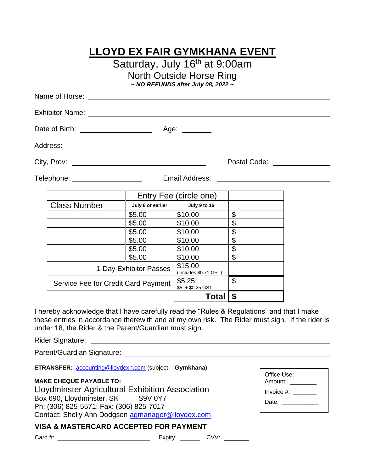## **LLOYD EX FAIR GYMKHANA EVENT** Saturday, July 16<sup>th</sup> at 9:00am North Outside Horse Ring *~ NO REFUNDS after July 08, 2022 ~* Name of Horse: Exhibitor Name: Date of Birth: Age: Age: 1999 Address: and the contract of the contract of the contract of the contract of the contract of the contract of the contract of the contract of the contract of the contract of the contract of the contract of the contract of t City, Prov: Postal Code: Telephone: Email Address: Entry Fee (circle one) Class Number **July 8 or earlier July 9 to 16**  $$5.00$   $$10.00$   $$$  $$5.00$   $$10.00$   $$$  $$5.00$   $$10.00$   $$$  $$5.00$   $$10.00$   $$$  $$5.00$   $$10.00$   $$$  $$5.00$   $$10.00$   $$$

1-Day Exhibitor Passes \$15.00 (includes \$0.71 GST) Service Fee for Credit Card Payment  $\frac{\$5.25}{35.285}$ \$5. + \$0.25 GST \$ **Total \$**

I hereby acknowledge that I have carefully read the "Rules & Regulations" and that I make these entries in accordance therewith and at my own risk. The Rider must sign. If the rider is under 18, the Rider & the Parent/Guardian must sign.

Rider Signature:

Parent/Guardian Signature:

**ETRANSFER:** [accounting@lloydexh.com](mailto:accounting@lloydexh.com) (subject – **Gymkhana**)

#### **MAKE CHEQUE PAYABLE TO:**

Lloydminster Agricultural Exhibition Association Box 690, Lloydminster, SK S9V 0Y7 Ph: (306) 825-5571; Fax: (306) 825-7017 Contact: Shelly Ann Dodgson [agmanager@lloydex.com](mailto:agmanager@lloydex.com)

#### Office Use: Amount: \_\_\_\_\_\_\_\_  $Invoice #: ____________$ Date: \_\_\_\_\_\_\_\_\_\_\_\_\_

#### **VISA & MASTERCARD ACCEPTED FOR PAYMENT**

Card #: \_\_\_\_\_\_\_\_\_\_\_\_\_\_\_\_\_\_\_\_\_\_\_\_\_\_\_\_ Expiry: \_\_\_\_\_\_ CVV: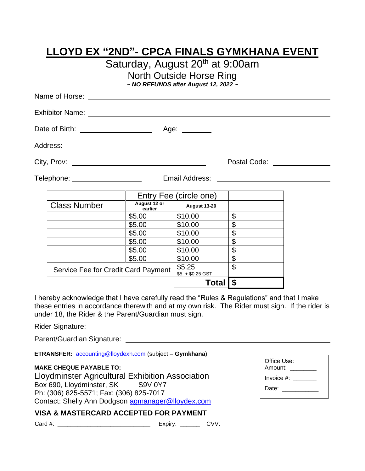| LLOYD EX "2ND"- CPCA FINALS GYMKHANA EVENT |                                                                                                                                  |                             |                                              |                            |  |  |  |
|--------------------------------------------|----------------------------------------------------------------------------------------------------------------------------------|-----------------------------|----------------------------------------------|----------------------------|--|--|--|
|                                            | Saturday, August 20 <sup>th</sup> at 9:00am<br><b>North Outside Horse Ring</b><br>$\sim$ NO REFUNDS after August 12, 2022 $\sim$ |                             |                                              |                            |  |  |  |
|                                            |                                                                                                                                  |                             |                                              |                            |  |  |  |
|                                            |                                                                                                                                  |                             |                                              |                            |  |  |  |
|                                            |                                                                                                                                  |                             |                                              |                            |  |  |  |
|                                            |                                                                                                                                  |                             |                                              |                            |  |  |  |
|                                            | Postal Code: _______________                                                                                                     |                             |                                              |                            |  |  |  |
|                                            | Telephone: Telephone:                                                                                                            |                             | Email Address: <u>______________________</u> |                            |  |  |  |
|                                            |                                                                                                                                  |                             | Entry Fee (circle one)                       |                            |  |  |  |
|                                            | <b>Class Number</b>                                                                                                              | August 12 or<br>earlier     | August 13-20                                 |                            |  |  |  |
|                                            |                                                                                                                                  | \$5.00                      | \$10.00                                      | $\frac{1}{2}$              |  |  |  |
|                                            |                                                                                                                                  | \$5.00                      | \$10.00                                      | $\overline{\mathcal{S}}$   |  |  |  |
|                                            |                                                                                                                                  | \$5.00                      | \$10.00                                      | $\overline{\mathcal{S}}$   |  |  |  |
|                                            |                                                                                                                                  | \$5.00                      | \$10.00                                      | \$                         |  |  |  |
|                                            |                                                                                                                                  | \$5.00                      | \$10.00                                      | \$                         |  |  |  |
|                                            |                                                                                                                                  | \$5.00                      | \$10.00                                      | $\boldsymbol{\mathsf{\$}}$ |  |  |  |
| Service Fee for Credit Card Payment        |                                                                                                                                  | \$5.25<br>$$5. + $0.25$ GST | $\mathfrak{P}$                               |                            |  |  |  |
|                                            |                                                                                                                                  |                             | <b>Total</b>                                 | \$                         |  |  |  |

I hereby acknowledge that I have carefully read the "Rules & Regulations" and that I make these entries in accordance therewith and at my own risk. The Rider must sign. If the rider is under 18, the Rider & the Parent/Guardian must sign.

Rider Signature:

Parent/Guardian Signature: \_\_\_\_\_\_\_\_\_\_

**ETRANSFER:** [accounting@lloydexh.com](mailto:accounting@lloydexh.com) (subject – **Gymkhana**)

#### **MAKE CHEQUE PAYABLE TO:**

Lloydminster Agricultural Exhibition Association Box 690, Lloydminster, SK S9V 0Y7 Ph: (306) 825-5571; Fax: (306) 825-7017 Contact: Shelly Ann Dodgson [agmanager@lloydex.com](mailto:agmanager@lloydex.com)

| Office Use:<br>Amount: |  |
|------------------------|--|
| Invoice $#$ :          |  |
| Date:                  |  |

| VISA & MASTERCARD ACCEPTED FOR PAYMENT |  |  |  |
|----------------------------------------|--|--|--|
|                                        |  |  |  |

Card #: \_\_\_\_\_\_\_\_\_\_\_\_\_\_\_\_\_\_\_\_\_\_\_\_\_\_\_\_ Expiry: \_\_\_\_\_\_ CVV: